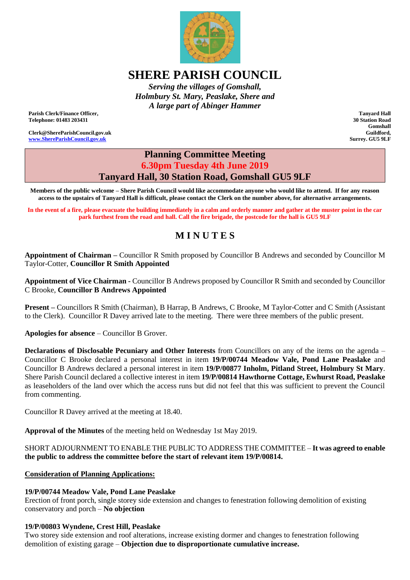

# **SHERE PARISH COUNCIL**

*Serving the villages of Gomshall, Holmbury St. Mary, Peaslake, Shere and A large part of Abinger Hammer*

**Parish Clerk/Finance Officer, Telephone: 01483 203431**

**Clerk@ShereParishCouncil.gov.uk [www.ShereParishCouncil.gov.uk](http://www.shereparishcouncil.gov.uk/)**

**Tanyard Hall 30 Station Road Gomshall Guildford, Surrey. GU5 9LF**

# **Planning Committee Meeting 6.30pm Tuesday 4th June 2019 Tanyard Hall, 30 Station Road, Gomshall GU5 9LF**

**Members of the public welcome – Shere Parish Council would like accommodate anyone who would like to attend. If for any reason access to the upstairs of Tanyard Hall is difficult, please contact the Clerk on the number above, for alternative arrangements.**

**In the event of a fire, please evacuate the building immediately in a calm and orderly manner and gather at the muster point in the car park furthest from the road and hall. Call the fire brigade, the postcode for the hall is GU5 9LF**

# **M I N U T E S**

**Appointment of Chairman –** Councillor R Smith proposed by Councillor B Andrews and seconded by Councillor M Taylor-Cotter, **Councillor R Smith Appointed** 

**Appointment of Vice Chairman -** Councillor B Andrews proposed by Councillor R Smith and seconded by Councillor C Brooke, **Councillor B Andrews Appointed** 

**Present –** Councillors R Smith (Chairman), B Harrap, B Andrews, C Brooke, M Taylor-Cotter and C Smith (Assistant to the Clerk). Councillor R Davey arrived late to the meeting. There were three members of the public present.

**Apologies for absence** – Councillor B Grover.

**Declarations of Disclosable Pecuniary and Other Interests** from Councillors on any of the items on the agenda – Councillor C Brooke declared a personal interest in item **19/P/00744 Meadow Vale, Pond Lane Peaslake** and Councillor B Andrews declared a personal interest in item **[19/P/00877](http://www2.guildford.gov.uk/publicaccess/applicationDetails.do?activeTab=summary&keyVal=_GUILD_DCAPR_186585&prevPage=inTray) Inholm, Pitland Street, Holmbury St Mary**. Shere Parish Council declared a collective interest in item **19/P/00814 [Hawthorne](http://www2.guildford.gov.uk/publicaccess/applicationDetails.do?activeTab=summary&keyVal=_GUILD_DCAPR_186476&prevPage=inTray) Cottage, Ewhurst Road, Peaslake** as leaseholders of the land over which the access runs but did not feel that this was sufficient to prevent the Council from commenting.

Councillor R Davey arrived at the meeting at 18.40.

**Approval of the Minutes** of the meeting held on Wednesday 1st May 2019.

#### SHORT ADJOURNMENT TO ENABLE THE PUBLIC TO ADDRESS THE COMMITTEE – **It was agreed to enable the public to address the committee before the start of relevant item 19/P/00814.**

#### **Consideration of Planning Applications:**

#### **[19/P/00744](http://www2.guildford.gov.uk/publicaccess/applicationDetails.do?activeTab=summary&keyVal=_GUILD_DCAPR_186341&prevPage=inTray) Meadow Vale, Pond Lane Peaslake**

Erection of front porch, single storey side extension and changes to fenestration following demolition of existing conservatory and porch – **No objection**

#### **[19/P/00803](http://www2.guildford.gov.uk/publicaccess/applicationDetails.do?activeTab=summary&keyVal=_GUILD_DCAPR_186454&prevPage=inTray) Wyndene, Crest Hill, Peaslake**

Two storey side extension and roof alterations, increase existing dormer and changes to fenestration following demolition of existing garage – **Objection due to disproportionate cumulative increase.**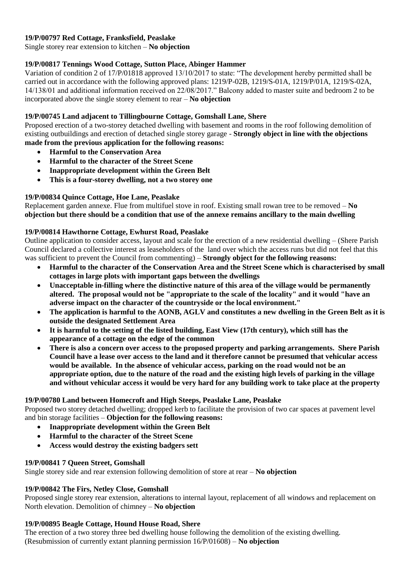# **19/P/00797 Red Cottage, [Franksfield,](http://www2.guildford.gov.uk/publicaccess/applicationDetails.do?activeTab=summary&keyVal=_GUILD_DCAPR_186443&prevPage=inTray) Peaslake**

Single storey rear extension to kitchen – **No objection**

# **[19/P/00817](http://www2.guildford.gov.uk/publicaccess/applicationDetails.do?activeTab=summary&keyVal=_GUILD_DCAPR_186481&prevPage=inTray) Tennings Wood Cottage, Sutton Place, Abinger Hammer**

Variation of condition 2 of 17/P/01818 approved 13/10/2017 to state: "The development hereby permitted shall be carried out in accordance with the following approved plans: 1219/P-02B, 1219/S-01A, 1219/P/01A, 1219/S-02A, 14/138/01 and additional information received on 22/08/2017." Balcony added to master suite and bedroom 2 to be incorporated above the single storey element to rear – **No objection**

#### **19/P/00745 Land adjacent to [Tillingbourne](http://www2.guildford.gov.uk/publicaccess/applicationDetails.do?activeTab=summary&keyVal=_GUILD_DCAPR_186342&prevPage=inTray) Cottage, Gomshall Lane, Shere**

Proposed erection of a two-storey detached dwelling with basement and rooms in the roof following demolition of existing outbuildings and erection of detached single storey garage - **Strongly object in line with the objections made from the previous application for the following reasons:**

- **Harmful to the Conservation Area**
- **Harmful to the character of the Street Scene**
- **Inappropriate development within the Green Belt**
- **This is a four-storey dwelling, not a two storey one**

# **[19/P/00834](http://www2.guildford.gov.uk/publicaccess/applicationDetails.do?activeTab=summary&keyVal=_GUILD_DCAPR_186511&prevPage=inTray) Quince Cottage, Hoe Lane, Peaslake**

Replacement garden annexe. Flue from multifuel stove in roof. Existing small rowan tree to be removed – **No objection but there should be a condition that use of the annexe remains ancillary to the main dwelling**

# **19/P/00814 [Hawthorne](http://www2.guildford.gov.uk/publicaccess/applicationDetails.do?activeTab=summary&keyVal=_GUILD_DCAPR_186476&prevPage=inTray) Cottage, Ewhurst Road, Peaslake**

Outline application to consider access, layout and scale for the erection of a new residential dwelling – (Shere Parish Council declared a collective interest as leaseholders of the land over which the access runs but did not feel that this was sufficient to prevent the Council from commenting) – **Strongly object for the following reasons:** 

- **Harmful to the character of the Conservation Area and the Street Scene which is characterised by small cottages in large plots with important gaps between the dwellings**
- **Unacceptable in-filling where the distinctive nature of this area of the village would be permanently altered. The proposal would not be "appropriate to the scale of the locality" and it would "have an adverse impact on the character of the countryside or the local environment."**
- **The application is harmful to the AONB, AGLV and constitutes a new dwelling in the Green Belt as it is outside the designated Settlement Area**
- **It is harmful to the setting of the listed building, East View (17th century), which still has the appearance of a cottage on the edge of the common**
- **There is also a concern over access to the proposed property and parking arrangements. Shere Parish Council have a lease over access to the land and it therefore cannot be presumed that vehicular access would be available. In the absence of vehicular access, parking on the road would not be an appropriate option, due to the nature of the road and the existing high levels of parking in the village and without vehicular access it would be very hard for any building work to take place at the property**

#### **[19/P/00780](http://www2.guildford.gov.uk/publicaccess/applicationDetails.do?activeTab=summary&keyVal=_GUILD_DCAPR_186402&prevPage=inTray) Land between Homecroft and High Steeps, Peaslake Lane, Peaslake**

Proposed two storey detached dwelling; dropped kerb to facilitate the provision of two car spaces at pavement level and bin storage facilities – **Objection for the following reasons:**

- **Inappropriate development within the Green Belt**
- **Harmful to the character of the Street Scene**
- **Access would destroy the existing badgers sett**

#### **[19/P/00841](http://www2.guildford.gov.uk/publicaccess/applicationDetails.do?activeTab=summary&keyVal=_GUILD_DCAPR_186528&prevPage=inTray) 7 Queen Street, Gomshall**

Single storey side and rear extension following demolition of store at rear – **No objection**

#### **[19/P/00842](http://www2.guildford.gov.uk/publicaccess/applicationDetails.do?activeTab=summary&keyVal=_GUILD_DCAPR_186529&prevPage=inTray) The Firs, Netley Close, Gomshall**

Proposed single storey rear extension, alterations to internal layout, replacement of all windows and replacement on North elevation. Demolition of chimney – **No objection**

#### **[19/P/00895](http://www2.guildford.gov.uk/publicaccess/applicationDetails.do?activeTab=summary&keyVal=_GUILD_DCAPR_186613&prevPage=inTray) Beagle Cottage, Hound House Road, Shere**

The erection of a two storey three bed dwelling house following the demolition of the existing dwelling. (Resubmission of currently extant planning permission 16/P/01608) – **No objection**